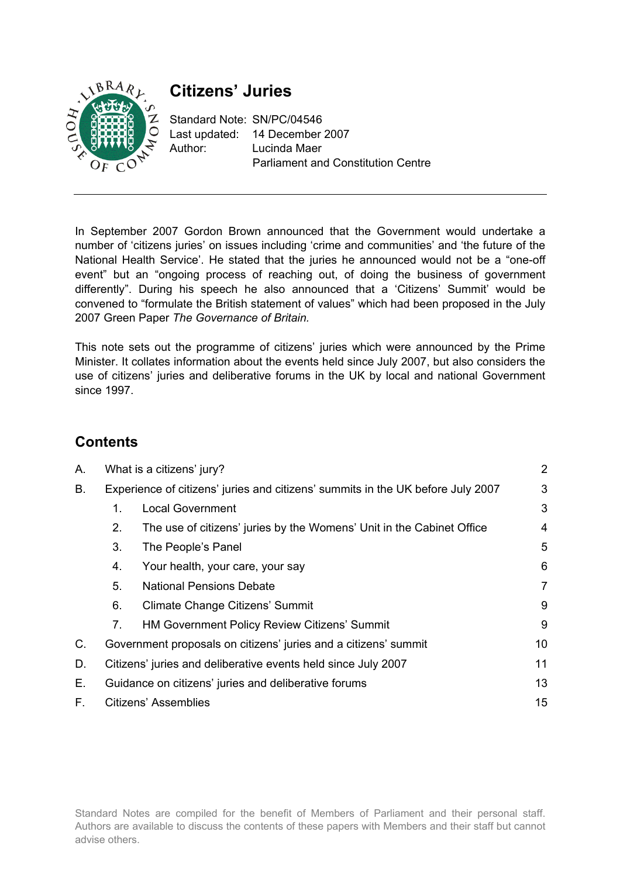

# **Citizens' Juries**

Standard Note: SN/PC/04546 Last updated: 14 December 2007 Author: Lucinda Maer Parliament and Constitution Centre

In September 2007 Gordon Brown announced that the Government would undertake a number of 'citizens juries' on issues including 'crime and communities' and 'the future of the National Health Service'. He stated that the juries he announced would not be a "one-off event" but an "ongoing process of reaching out, of doing the business of government differently". During his speech he also announced that a 'Citizens' Summit' would be convened to "formulate the British statement of values" which had been proposed in the July 2007 Green Paper *The Governance of Britain.* 

This note sets out the programme of citizens' juries which were announced by the Prime Minister. It collates information about the events held since July 2007, but also considers the use of citizens' juries and deliberative forums in the UK by local and national Government since 1997.

## **Contents**

| А.          | What is a citizens' jury?                                                       |                                                                       | 2              |
|-------------|---------------------------------------------------------------------------------|-----------------------------------------------------------------------|----------------|
| В.          | Experience of citizens' juries and citizens' summits in the UK before July 2007 |                                                                       | 3              |
|             | 1.                                                                              | <b>Local Government</b>                                               | 3              |
|             | 2.                                                                              | The use of citizens' juries by the Womens' Unit in the Cabinet Office | 4              |
|             | 3.                                                                              | The People's Panel                                                    | 5              |
|             | 4.                                                                              | Your health, your care, your say                                      | 6              |
|             | 5.                                                                              | <b>National Pensions Debate</b>                                       | $\overline{7}$ |
|             | 6.                                                                              | Climate Change Citizens' Summit                                       | 9              |
|             | 7.                                                                              | HM Government Policy Review Citizens' Summit                          | 9              |
| $C_{\cdot}$ |                                                                                 | Government proposals on citizens' juries and a citizens' summit       |                |
| D.          |                                                                                 | Citizens' juries and deliberative events held since July 2007         |                |
| Е.          | Guidance on citizens' juries and deliberative forums                            |                                                                       | 13             |
| F.          | Citizens' Assemblies                                                            |                                                                       | 15             |

Standard Notes are compiled for the benefit of Members of Parliament and their personal staff. Authors are available to discuss the contents of these papers with Members and their staff but cannot advise others.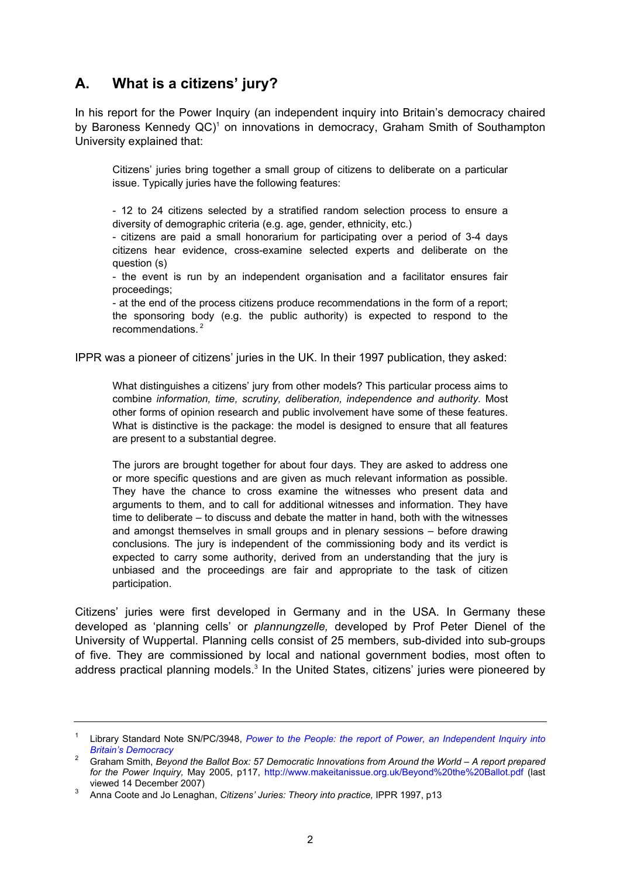## **A. What is a citizens' jury?**

In his report for the Power Inquiry (an independent inquiry into Britain's democracy chaired by Baroness Kennedy QC)<sup>1</sup> on innovations in democracy, Graham Smith of Southampton University explained that:

Citizens' juries bring together a small group of citizens to deliberate on a particular issue. Typically juries have the following features:

- 12 to 24 citizens selected by a stratified random selection process to ensure a diversity of demographic criteria (e.g. age, gender, ethnicity, etc.)

- citizens are paid a small honorarium for participating over a period of 3-4 days citizens hear evidence, cross-examine selected experts and deliberate on the question (s)

- the event is run by an independent organisation and a facilitator ensures fair proceedings;

- at the end of the process citizens produce recommendations in the form of a report; the sponsoring body (e.g. the public authority) is expected to respond to the recommendations.<sup>2</sup>

IPPR was a pioneer of citizens' juries in the UK. In their 1997 publication, they asked:

What distinguishes a citizens' jury from other models? This particular process aims to combine *information, time, scrutiny, deliberation, independence and authority.* Most other forms of opinion research and public involvement have some of these features. What is distinctive is the package: the model is designed to ensure that all features are present to a substantial degree.

The jurors are brought together for about four days. They are asked to address one or more specific questions and are given as much relevant information as possible. They have the chance to cross examine the witnesses who present data and arguments to them, and to call for additional witnesses and information. They have time to deliberate – to discuss and debate the matter in hand, both with the witnesses and amongst themselves in small groups and in plenary sessions – before drawing conclusions. The jury is independent of the commissioning body and its verdict is expected to carry some authority, derived from an understanding that the jury is unbiased and the proceedings are fair and appropriate to the task of citizen participation.

Citizens' juries were first developed in Germany and in the USA. In Germany these developed as 'planning cells' or *plannungzelle,* developed by Prof Peter Dienel of the University of Wuppertal. Planning cells consist of 25 members, sub-divided into sub-groups of five. They are commissioned by local and national government bodies, most often to address practical planning models.<sup>3</sup> In the United States, citizens' juries were pioneered by

<sup>&</sup>lt;sup>1</sup> Library Standard Note SN/PC/3948, *Power to the People: the report of Power, an Independent Inquiry into Britain's Democracy*

<sup>&</sup>lt;sup>2</sup> Graham Smith, *Beyond the Ballot Box: 57 Democratic Innovations from Around the World – A report prepared for the Power Inquiry,* May 2005, p117, http://www.makeitanissue.org.uk/Beyond%20the%20Ballot.pdf (last

viewed 14 December 2007) 3 Anna Coote and Jo Lenaghan, *Citizens' Juries: Theory into practice,* IPPR 1997, p13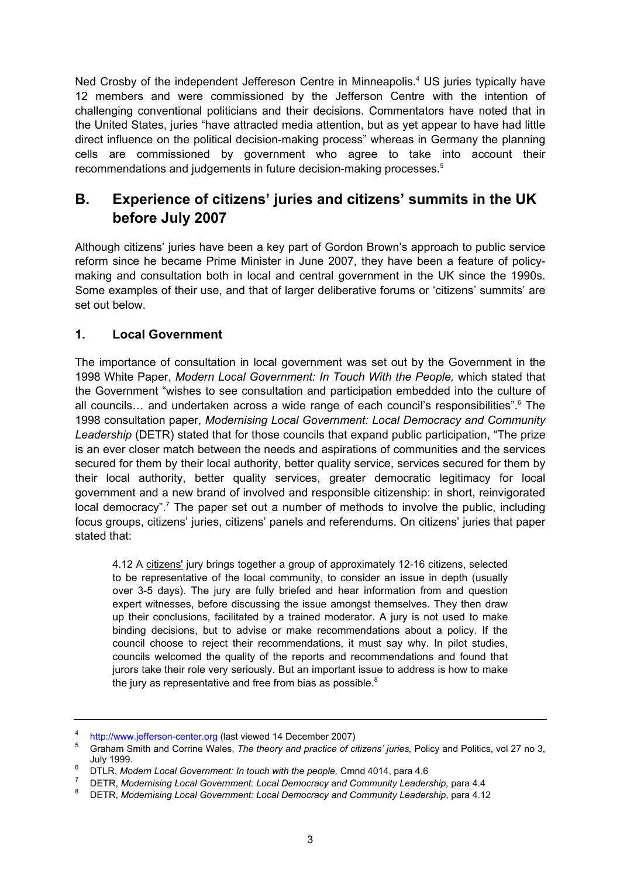Ned Crosby of the independent Jeffereson Centre in Minneapolis.<sup>4</sup> US juries typically have 12 members and were commissioned by the Jefferson Centre with the intention of challenging conventional politicians and their decisions. Commentators have noted that in the United States, juries "have attracted media attention, but as yet appear to have had little direct influence on the political decision-making process" whereas in Germany the planning cells are commissioned by government who agree to take into account their recommendations and judgements in future decision-making processes.<sup>5</sup>

## **B. Experience of citizens' juries and citizens' summits in the UK before July 2007**

Although citizens' juries have been a key part of Gordon Brown's approach to public service reform since he became Prime Minister in June 2007, they have been a feature of policymaking and consultation both in local and central government in the UK since the 1990s. Some examples of their use, and that of larger deliberative forums or 'citizens' summits' are set out below.

#### **1. Local Government**

The importance of consultation in local government was set out by the Government in the 1998 White Paper, *Modern Local Government: In Touch With the People,* which stated that the Government "wishes to see consultation and participation embedded into the culture of all councils... and undertaken across a wide range of each council's responsibilities".<sup>6</sup> The 1998 consultation paper, *Modernising Local Government: Local Democracy and Community Leadership* (DETR) stated that for those councils that expand public participation, "The prize is an ever closer match between the needs and aspirations of communities and the services secured for them by their local authority, better quality service, services secured for them by their local authority, better quality services, greater democratic legitimacy for local government and a new brand of involved and responsible citizenship: in short, reinvigorated local democracy".<sup>7</sup> The paper set out a number of methods to involve the public, including focus groups, citizens' juries, citizens' panels and referendums. On citizens' juries that paper stated that:

4.12 A citizens' jury brings together a group of approximately 12-16 citizens, selected to be representative of the local community, to consider an issue in depth (usually over 3-5 days). The jury are fully briefed and hear information from and question expert witnesses, before discussing the issue amongst themselves. They then draw up their conclusions, facilitated by a trained moderator. A jury is not used to make binding decisions, but to advise or make recommendations about a policy. If the council choose to reject their recommendations, it must say why. In pilot studies, councils welcomed the quality of the reports and recommendations and found that jurors take their role very seriously. But an important issue to address is how to make the jury as representative and free from bias as possible.<sup>8</sup>

<sup>4</sup>

<sup>&</sup>lt;sup>4</sup> http://www.jefferson-center.org (last viewed 14 December 2007)<br><sup>5</sup> Graham Smith and Corrine Wales, *The theory and practice of citizens' juries,* Policy and Politics, vol 27 no 3, July 1999.

<sup>&</sup>lt;sup>o</sup> DTLR, *Modern Local Government: In touch with the people,* Cmnd 4014, para 4.6<br><sup>7</sup> DETR *Modernising Local Covernment: Local Demograpy and Community Localors* 

<sup>&</sup>lt;sup>7</sup> DETR, Modernising Local Government: Local Democracy and Community Leadership, para 4.4

DETR, *Modernising Local Government: Local Democracy and Community Leadership*, para 4.12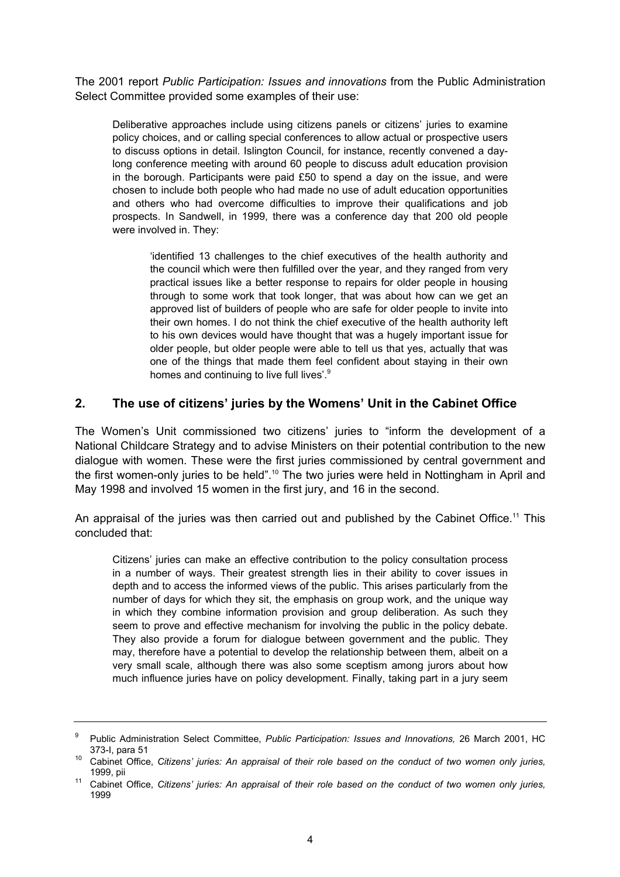The 2001 report *Public Participation: Issues and innovations* from the Public Administration Select Committee provided some examples of their use:

Deliberative approaches include using citizens panels or citizens' juries to examine policy choices, and or calling special conferences to allow actual or prospective users to discuss options in detail. Islington Council, for instance, recently convened a daylong conference meeting with around 60 people to discuss adult education provision in the borough. Participants were paid £50 to spend a day on the issue, and were chosen to include both people who had made no use of adult education opportunities and others who had overcome difficulties to improve their qualifications and job prospects. In Sandwell, in 1999, there was a conference day that 200 old people were involved in. They:

'identified 13 challenges to the chief executives of the health authority and the council which were then fulfilled over the year, and they ranged from very practical issues like a better response to repairs for older people in housing through to some work that took longer, that was about how can we get an approved list of builders of people who are safe for older people to invite into their own homes. I do not think the chief executive of the health authority left to his own devices would have thought that was a hugely important issue for older people, but older people were able to tell us that yes, actually that was one of the things that made them feel confident about staying in their own homes and continuing to live full lives'.<sup>9</sup>

#### **2. The use of citizens' juries by the Womens' Unit in the Cabinet Office**

The Women's Unit commissioned two citizens' juries to "inform the development of a National Childcare Strategy and to advise Ministers on their potential contribution to the new dialogue with women. These were the first juries commissioned by central government and the first women-only juries to be held".<sup>10</sup> The two juries were held in Nottingham in April and May 1998 and involved 15 women in the first jury, and 16 in the second.

An appraisal of the juries was then carried out and published by the Cabinet Office.<sup>11</sup> This concluded that:

Citizens' juries can make an effective contribution to the policy consultation process in a number of ways. Their greatest strength lies in their ability to cover issues in depth and to access the informed views of the public. This arises particularly from the number of days for which they sit, the emphasis on group work, and the unique way in which they combine information provision and group deliberation. As such they seem to prove and effective mechanism for involving the public in the policy debate. They also provide a forum for dialogue between government and the public. They may, therefore have a potential to develop the relationship between them, albeit on a very small scale, although there was also some sceptism among jurors about how much influence juries have on policy development. Finally, taking part in a jury seem

<sup>9</sup> Public Administration Select Committee, *Public Participation: Issues and Innovations,* 26 March 2001, HC 373-I, para 51<br><sup>10</sup> Cabinet Office, *Citizens' juries: An appraisal of their role based on the conduct of two women only juries,* 

<sup>1999,</sup> pii 11 Cabinet Office, *Citizens' juries: An appraisal of their role based on the conduct of two women only juries,* 

<sup>1999</sup>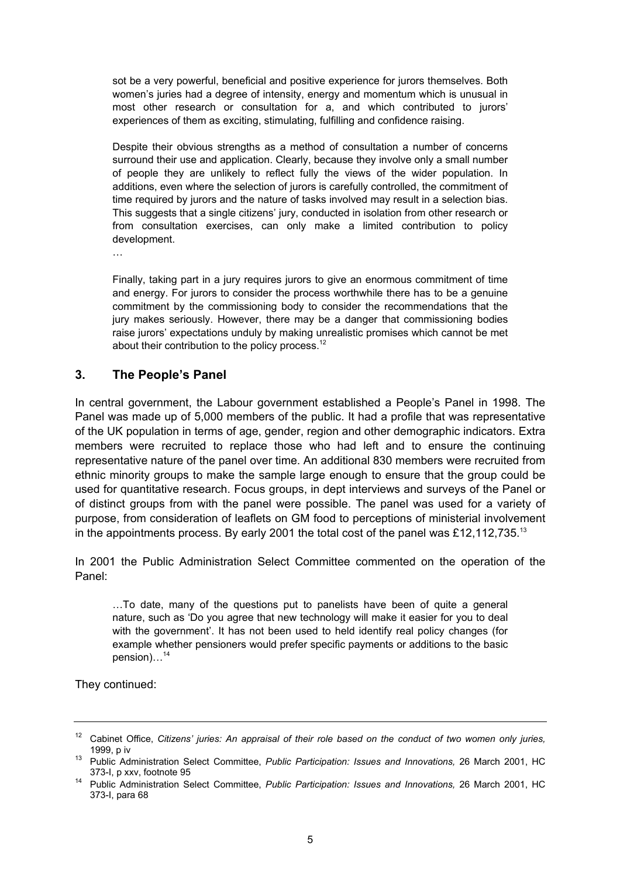sot be a very powerful, beneficial and positive experience for jurors themselves. Both women's juries had a degree of intensity, energy and momentum which is unusual in most other research or consultation for a, and which contributed to jurors' experiences of them as exciting, stimulating, fulfilling and confidence raising.

Despite their obvious strengths as a method of consultation a number of concerns surround their use and application. Clearly, because they involve only a small number of people they are unlikely to reflect fully the views of the wider population. In additions, even where the selection of jurors is carefully controlled, the commitment of time required by jurors and the nature of tasks involved may result in a selection bias. This suggests that a single citizens' jury, conducted in isolation from other research or from consultation exercises, can only make a limited contribution to policy development.

…

Finally, taking part in a jury requires jurors to give an enormous commitment of time and energy. For jurors to consider the process worthwhile there has to be a genuine commitment by the commissioning body to consider the recommendations that the jury makes seriously. However, there may be a danger that commissioning bodies raise jurors' expectations unduly by making unrealistic promises which cannot be met about their contribution to the policy process. $12$ 

#### **3. The People's Panel**

In central government, the Labour government established a People's Panel in 1998. The Panel was made up of 5,000 members of the public. It had a profile that was representative of the UK population in terms of age, gender, region and other demographic indicators. Extra members were recruited to replace those who had left and to ensure the continuing representative nature of the panel over time. An additional 830 members were recruited from ethnic minority groups to make the sample large enough to ensure that the group could be used for quantitative research. Focus groups, in dept interviews and surveys of the Panel or of distinct groups from with the panel were possible. The panel was used for a variety of purpose, from consideration of leaflets on GM food to perceptions of ministerial involvement in the appointments process. By early 2001 the total cost of the panel was £12,112,735.<sup>13</sup>

In 2001 the Public Administration Select Committee commented on the operation of the Panel:

…To date, many of the questions put to panelists have been of quite a general nature, such as 'Do you agree that new technology will make it easier for you to deal with the government'. It has not been used to held identify real policy changes (for example whether pensioners would prefer specific payments or additions to the basic pension)...<sup>14</sup>

They continued:

<sup>&</sup>lt;sup>12</sup> Cabinet Office, *Citizens' juries: An appraisal of their role based on the conduct of two women only juries,* 1999, p iv 13 Public Administration Select Committee, *Public Participation: Issues and Innovations,* 26 March 2001, HC

<sup>373-</sup>I, p xxv, footnote 95 14 Public Administration Select Committee, *Public Participation: Issues and Innovations,* 26 March 2001, HC 373-I, para 68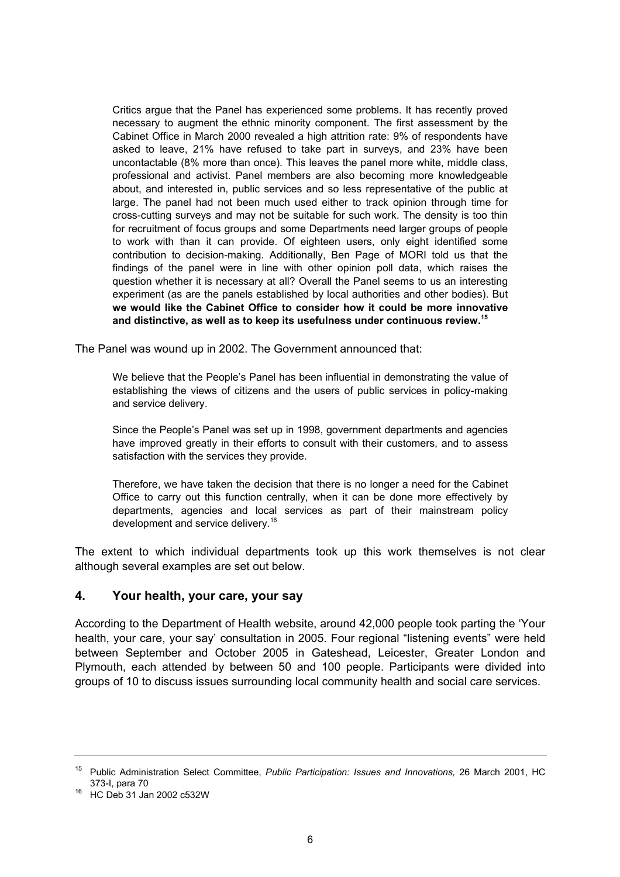Critics argue that the Panel has experienced some problems. It has recently proved necessary to augment the ethnic minority component. The first assessment by the Cabinet Office in March 2000 revealed a high attrition rate: 9% of respondents have asked to leave, 21% have refused to take part in surveys, and 23% have been uncontactable (8% more than once). This leaves the panel more white, middle class, professional and activist. Panel members are also becoming more knowledgeable about, and interested in, public services and so less representative of the public at large. The panel had not been much used either to track opinion through time for cross-cutting surveys and may not be suitable for such work. The density is too thin for recruitment of focus groups and some Departments need larger groups of people to work with than it can provide. Of eighteen users, only eight identified some contribution to decision-making. Additionally, Ben Page of MORI told us that the findings of the panel were in line with other opinion poll data, which raises the question whether it is necessary at all? Overall the Panel seems to us an interesting experiment (as are the panels established by local authorities and other bodies). But **we would like the Cabinet Office to consider how it could be more innovative and distinctive, as well as to keep its usefulness under continuous review.15**

The Panel was wound up in 2002. The Government announced that:

We believe that the People's Panel has been influential in demonstrating the value of establishing the views of citizens and the users of public services in policy-making and service delivery.

Since the People's Panel was set up in 1998, government departments and agencies have improved greatly in their efforts to consult with their customers, and to assess satisfaction with the services they provide.

Therefore, we have taken the decision that there is no longer a need for the Cabinet Office to carry out this function centrally, when it can be done more effectively by departments, agencies and local services as part of their mainstream policy development and service delivery.<sup>16</sup>

The extent to which individual departments took up this work themselves is not clear although several examples are set out below.

#### **4. Your health, your care, your say**

According to the Department of Health website, around 42,000 people took parting the 'Your health, your care, your say' consultation in 2005. Four regional "listening events" were held between September and October 2005 in Gateshead, Leicester, Greater London and Plymouth, each attended by between 50 and 100 people. Participants were divided into groups of 10 to discuss issues surrounding local community health and social care services.

<sup>15</sup> Public Administration Select Committee, *Public Participation: Issues and Innovations,* 26 March 2001, HC 373-I, para 70<br><sup>16</sup> HC Deb 31 Jan 2002 c532W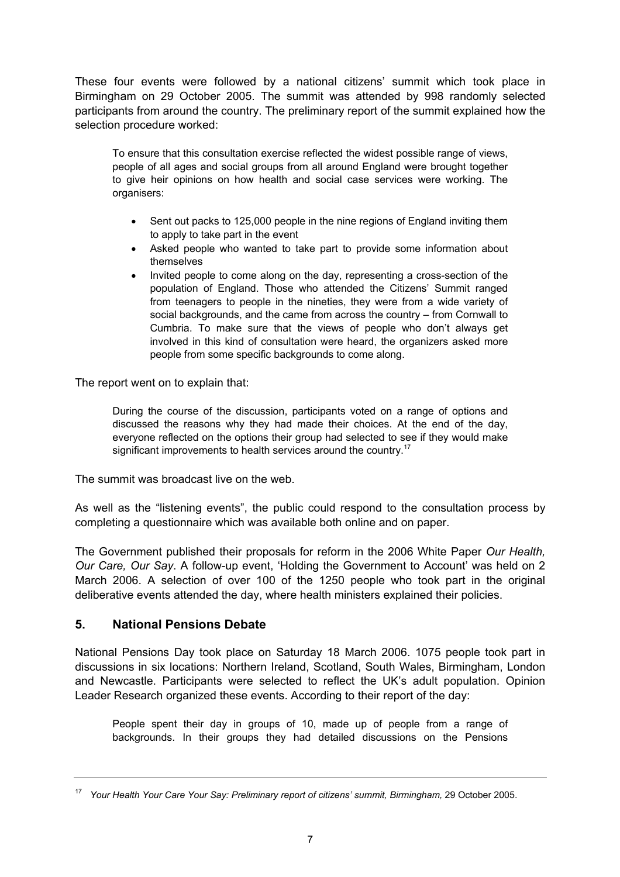These four events were followed by a national citizens' summit which took place in Birmingham on 29 October 2005. The summit was attended by 998 randomly selected participants from around the country. The preliminary report of the summit explained how the selection procedure worked:

To ensure that this consultation exercise reflected the widest possible range of views, people of all ages and social groups from all around England were brought together to give heir opinions on how health and social case services were working. The organisers:

- Sent out packs to 125,000 people in the nine regions of England inviting them to apply to take part in the event
- Asked people who wanted to take part to provide some information about themselves
- Invited people to come along on the day, representing a cross-section of the population of England. Those who attended the Citizens' Summit ranged from teenagers to people in the nineties, they were from a wide variety of social backgrounds, and the came from across the country – from Cornwall to Cumbria. To make sure that the views of people who don't always get involved in this kind of consultation were heard, the organizers asked more people from some specific backgrounds to come along.

The report went on to explain that:

During the course of the discussion, participants voted on a range of options and discussed the reasons why they had made their choices. At the end of the day, everyone reflected on the options their group had selected to see if they would make significant improvements to health services around the country.<sup>17</sup>

The summit was broadcast live on the web.

As well as the "listening events", the public could respond to the consultation process by completing a questionnaire which was available both online and on paper.

The Government published their proposals for reform in the 2006 White Paper *Our Health, Our Care, Our Say*. A follow-up event, 'Holding the Government to Account' was held on 2 March 2006. A selection of over 100 of the 1250 people who took part in the original deliberative events attended the day, where health ministers explained their policies.

#### **5. National Pensions Debate**

National Pensions Day took place on Saturday 18 March 2006. 1075 people took part in discussions in six locations: Northern Ireland, Scotland, South Wales, Birmingham, London and Newcastle. Participants were selected to reflect the UK's adult population. Opinion Leader Research organized these events. According to their report of the day:

People spent their day in groups of 10, made up of people from a range of backgrounds. In their groups they had detailed discussions on the Pensions

<sup>17</sup> *Your Health Your Care Your Say: Preliminary report of citizens' summit, Birmingham,* 29 October 2005.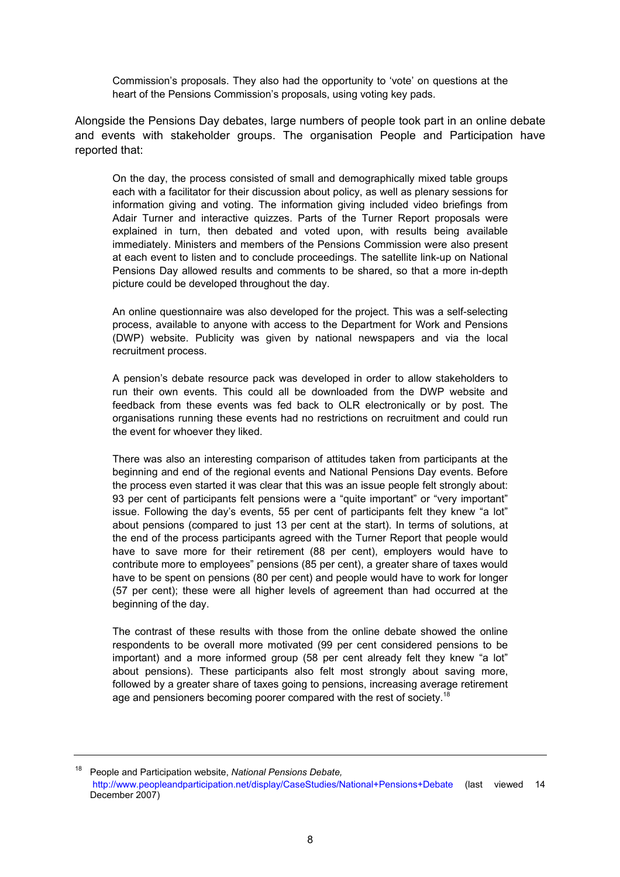Commission's proposals. They also had the opportunity to 'vote' on questions at the heart of the Pensions Commission's proposals, using voting key pads.

Alongside the Pensions Day debates, large numbers of people took part in an online debate and events with stakeholder groups. The organisation People and Participation have reported that:

On the day, the process consisted of small and demographically mixed table groups each with a facilitator for their discussion about policy, as well as plenary sessions for information giving and voting. The information giving included video briefings from Adair Turner and interactive quizzes. Parts of the Turner Report proposals were explained in turn, then debated and voted upon, with results being available immediately. Ministers and members of the Pensions Commission were also present at each event to listen and to conclude proceedings. The satellite link-up on National Pensions Day allowed results and comments to be shared, so that a more in-depth picture could be developed throughout the day.

An online questionnaire was also developed for the project. This was a self-selecting process, available to anyone with access to the Department for Work and Pensions (DWP) website. Publicity was given by national newspapers and via the local recruitment process.

A pension's debate resource pack was developed in order to allow stakeholders to run their own events. This could all be downloaded from the DWP website and feedback from these events was fed back to OLR electronically or by post. The organisations running these events had no restrictions on recruitment and could run the event for whoever they liked.

There was also an interesting comparison of attitudes taken from participants at the beginning and end of the regional events and National Pensions Day events. Before the process even started it was clear that this was an issue people felt strongly about: 93 per cent of participants felt pensions were a "quite important" or "very important" issue. Following the day's events, 55 per cent of participants felt they knew "a lot" about pensions (compared to just 13 per cent at the start). In terms of solutions, at the end of the process participants agreed with the Turner Report that people would have to save more for their retirement (88 per cent), employers would have to contribute more to employees" pensions (85 per cent), a greater share of taxes would have to be spent on pensions (80 per cent) and people would have to work for longer (57 per cent); these were all higher levels of agreement than had occurred at the beginning of the day.

The contrast of these results with those from the online debate showed the online respondents to be overall more motivated (99 per cent considered pensions to be important) and a more informed group (58 per cent already felt they knew "a lot" about pensions). These participants also felt most strongly about saving more, followed by a greater share of taxes going to pensions, increasing average retirement age and pensioners becoming poorer compared with the rest of society.<sup>18</sup>

18 People and Participation website, *National Pensions Debate,* http://www.peopleandparticipation.net/display/CaseStudies/National+Pensions+Debate (last viewed 14 December 2007)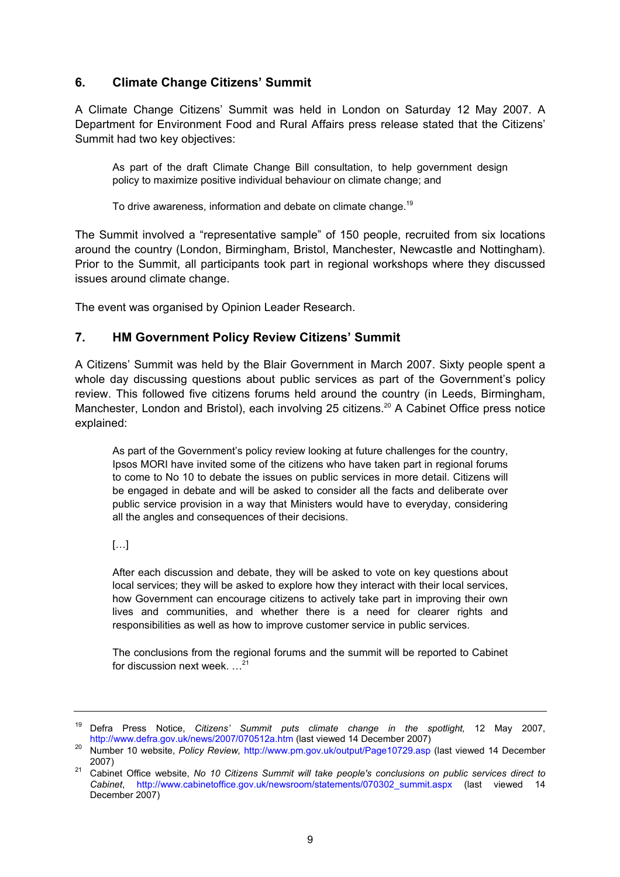#### **6. Climate Change Citizens' Summit**

A Climate Change Citizens' Summit was held in London on Saturday 12 May 2007. A Department for Environment Food and Rural Affairs press release stated that the Citizens' Summit had two key objectives:

As part of the draft Climate Change Bill consultation, to help government design policy to maximize positive individual behaviour on climate change; and

To drive awareness, information and debate on climate change.<sup>19</sup>

The Summit involved a "representative sample" of 150 people, recruited from six locations around the country (London, Birmingham, Bristol, Manchester, Newcastle and Nottingham). Prior to the Summit, all participants took part in regional workshops where they discussed issues around climate change.

The event was organised by Opinion Leader Research.

#### **7. HM Government Policy Review Citizens' Summit**

A Citizens' Summit was held by the Blair Government in March 2007. Sixty people spent a whole day discussing questions about public services as part of the Government's policy review. This followed five citizens forums held around the country (in Leeds, Birmingham, Manchester, London and Bristol), each involving 25 citizens.<sup>20</sup> A Cabinet Office press notice explained:

As part of the Government's policy review looking at future challenges for the country, Ipsos MORI have invited some of the citizens who have taken part in regional forums to come to No 10 to debate the issues on public services in more detail. Citizens will be engaged in debate and will be asked to consider all the facts and deliberate over public service provision in a way that Ministers would have to everyday, considering all the angles and consequences of their decisions.

[…]

After each discussion and debate, they will be asked to vote on key questions about local services; they will be asked to explore how they interact with their local services, how Government can encourage citizens to actively take part in improving their own lives and communities, and whether there is a need for clearer rights and responsibilities as well as how to improve customer service in public services.

The conclusions from the regional forums and the summit will be reported to Cabinet for discussion next week. …<sup>21</sup>

<sup>19</sup> Defra Press Notice, *Citizens' Summit puts climate change in the spotlight,* 12 May 2007, http://www.defra.gov.uk/news/2007/070512a.htm (last viewed 14 December 2007) 20 Number 10 website, *Policy Review,* http://www.pm.gov.uk/output/Page10729.asp (last viewed 14 December

<sup>2007) 21</sup> Cabinet Office website, *No 10 Citizens Summit will take people's conclusions on public services direct to* 

*Cabinet*, http://www.cabinetoffice.gov.uk/newsroom/statements/070302\_summit.aspx (last viewed 14 December 2007)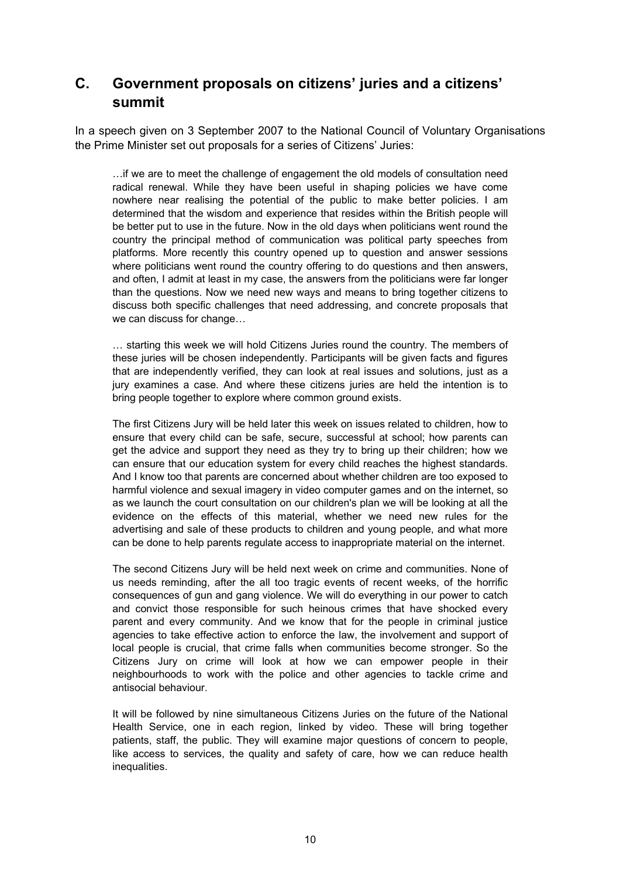## **C. Government proposals on citizens' juries and a citizens' summit**

In a speech given on 3 September 2007 to the National Council of Voluntary Organisations the Prime Minister set out proposals for a series of Citizens' Juries:

…if we are to meet the challenge of engagement the old models of consultation need radical renewal. While they have been useful in shaping policies we have come nowhere near realising the potential of the public to make better policies. I am determined that the wisdom and experience that resides within the British people will be better put to use in the future. Now in the old days when politicians went round the country the principal method of communication was political party speeches from platforms. More recently this country opened up to question and answer sessions where politicians went round the country offering to do questions and then answers, and often, I admit at least in my case, the answers from the politicians were far longer than the questions. Now we need new ways and means to bring together citizens to discuss both specific challenges that need addressing, and concrete proposals that we can discuss for change…

… starting this week we will hold Citizens Juries round the country. The members of these juries will be chosen independently. Participants will be given facts and figures that are independently verified, they can look at real issues and solutions, just as a jury examines a case. And where these citizens juries are held the intention is to bring people together to explore where common ground exists.

The first Citizens Jury will be held later this week on issues related to children, how to ensure that every child can be safe, secure, successful at school; how parents can get the advice and support they need as they try to bring up their children; how we can ensure that our education system for every child reaches the highest standards. And I know too that parents are concerned about whether children are too exposed to harmful violence and sexual imagery in video computer games and on the internet, so as we launch the court consultation on our children's plan we will be looking at all the evidence on the effects of this material, whether we need new rules for the advertising and sale of these products to children and young people, and what more can be done to help parents regulate access to inappropriate material on the internet.

The second Citizens Jury will be held next week on crime and communities. None of us needs reminding, after the all too tragic events of recent weeks, of the horrific consequences of gun and gang violence. We will do everything in our power to catch and convict those responsible for such heinous crimes that have shocked every parent and every community. And we know that for the people in criminal justice agencies to take effective action to enforce the law, the involvement and support of local people is crucial, that crime falls when communities become stronger. So the Citizens Jury on crime will look at how we can empower people in their neighbourhoods to work with the police and other agencies to tackle crime and antisocial behaviour.

It will be followed by nine simultaneous Citizens Juries on the future of the National Health Service, one in each region, linked by video. These will bring together patients, staff, the public. They will examine major questions of concern to people, like access to services, the quality and safety of care, how we can reduce health inequalities.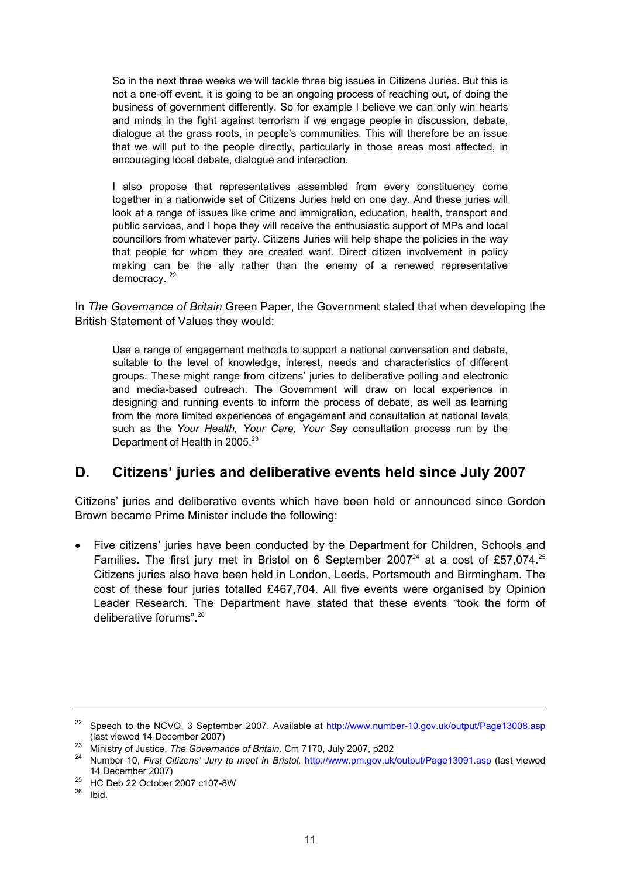So in the next three weeks we will tackle three big issues in Citizens Juries. But this is not a one-off event, it is going to be an ongoing process of reaching out, of doing the business of government differently. So for example I believe we can only win hearts and minds in the fight against terrorism if we engage people in discussion, debate, dialogue at the grass roots, in people's communities. This will therefore be an issue that we will put to the people directly, particularly in those areas most affected, in encouraging local debate, dialogue and interaction.

I also propose that representatives assembled from every constituency come together in a nationwide set of Citizens Juries held on one day. And these juries will look at a range of issues like crime and immigration, education, health, transport and public services, and I hope they will receive the enthusiastic support of MPs and local councillors from whatever party. Citizens Juries will help shape the policies in the way that people for whom they are created want. Direct citizen involvement in policy making can be the ally rather than the enemy of a renewed representative democracy.<sup>22</sup>

In *The Governance of Britain* Green Paper, the Government stated that when developing the British Statement of Values they would:

Use a range of engagement methods to support a national conversation and debate, suitable to the level of knowledge, interest, needs and characteristics of different groups. These might range from citizens' juries to deliberative polling and electronic and media-based outreach. The Government will draw on local experience in designing and running events to inform the process of debate, as well as learning from the more limited experiences of engagement and consultation at national levels such as the *Your Health, Your Care, Your Say* consultation process run by the Department of Health in  $2005.<sup>23</sup>$ 

### **D. Citizens' juries and deliberative events held since July 2007**

Citizens' juries and deliberative events which have been held or announced since Gordon Brown became Prime Minister include the following:

• Five citizens' juries have been conducted by the Department for Children, Schools and Families. The first jury met in Bristol on 6 September 2007 $^{24}$  at a cost of £57,074. $^{25}$ Citizens juries also have been held in London, Leeds, Portsmouth and Birmingham. The cost of these four juries totalled £467,704. All five events were organised by Opinion Leader Research. The Department have stated that these events "took the form of deliberative forums" 26

<sup>&</sup>lt;sup>22</sup> Speech to the NCVO, 3 September 2007. Available at http://www.number-10.gov.uk/output/Page13008.asp (last viewed 14 December 2007)

<sup>&</sup>lt;sup>23</sup> Ministry of Justice, The Governance of Britain, Cm 7170, July 2007, p202<br><sup>24</sup> Number 10, First Citizens' Jury to meet in Bristol, http://www.pm.gov.uk/output/Page13091.asp (last viewed 14 December 2007) 25 HC Deb 22 October 2007 c107-8W

 $26$  Ibid.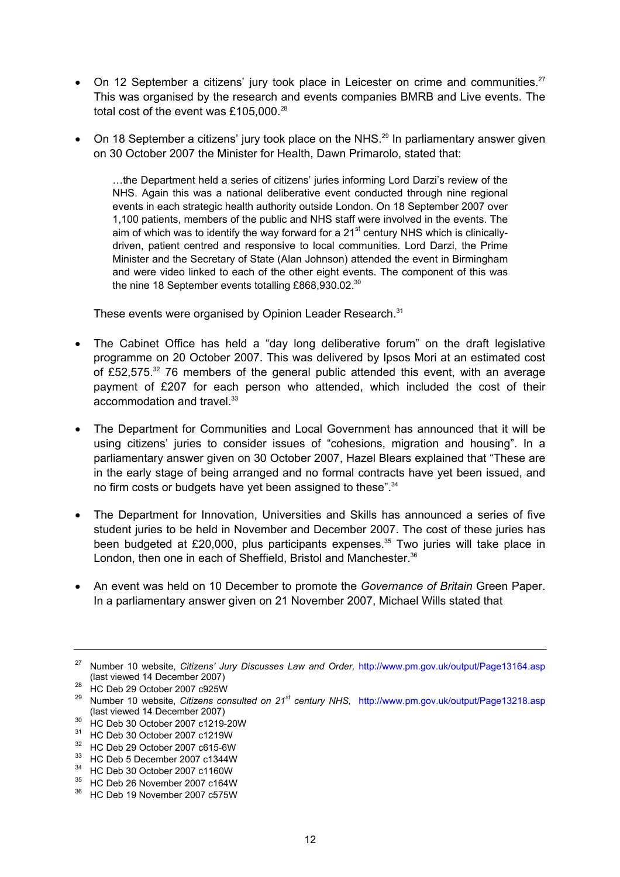- On 12 September a citizens' jury took place in Leicester on crime and communities.<sup>27</sup> This was organised by the research and events companies BMRB and Live events. The total cost of the event was £105,000.<sup>28</sup>
- On 18 September a citizens' jury took place on the NHS.<sup>29</sup> In parliamentary answer given on 30 October 2007 the Minister for Health, Dawn Primarolo, stated that:

…the Department held a series of citizens' juries informing Lord Darzi's review of the NHS. Again this was a national deliberative event conducted through nine regional events in each strategic health authority outside London. On 18 September 2007 over 1,100 patients, members of the public and NHS staff were involved in the events. The aim of which was to identify the way forward for a  $21<sup>st</sup>$  century NHS which is clinicallydriven, patient centred and responsive to local communities. Lord Darzi, the Prime Minister and the Secretary of State (Alan Johnson) attended the event in Birmingham and were video linked to each of the other eight events. The component of this was the nine 18 September events totalling £868,930.02.<sup>30</sup>

These events were organised by Opinion Leader Research.<sup>31</sup>

- The Cabinet Office has held a "day long deliberative forum" on the draft legislative programme on 20 October 2007. This was delivered by Ipsos Mori at an estimated cost of £52,575.32 76 members of the general public attended this event, with an average payment of £207 for each person who attended, which included the cost of their accommodation and travel.<sup>33</sup>
- The Department for Communities and Local Government has announced that it will be using citizens' juries to consider issues of "cohesions, migration and housing". In a parliamentary answer given on 30 October 2007, Hazel Blears explained that "These are in the early stage of being arranged and no formal contracts have yet been issued, and no firm costs or budgets have yet been assigned to these".<sup>34</sup>
- The Department for Innovation, Universities and Skills has announced a series of five student juries to be held in November and December 2007. The cost of these juries has been budgeted at £20,000, plus participants expenses. $35$  Two juries will take place in London, then one in each of Sheffield, Bristol and Manchester.<sup>36</sup>
- An event was held on 10 December to promote the *Governance of Britain* Green Paper. In a parliamentary answer given on 21 November 2007, Michael Wills stated that

- (last viewed 14 December 2007) 30 HC Deb 30 October 2007 c1219-20W
- 31 HC Deb 30 October 2007 c1219W
- 32 HC Deb 29 October 2007 c615-6W
- 33 HC Deb 5 December 2007 c1344W
- 34 HC Deb 30 October 2007 c1160W
- 35 HC Deb 26 November 2007 c164W
- 36 HC Deb 19 November 2007 c575W

<sup>&</sup>lt;sup>27</sup> Number 10 website, *Citizens' Jury Discusses Law and Order,* http://www.pm.gov.uk/output/Page13164.asp (last viewed 14 December 2007)

<sup>(</sup>last viewed 14 December 2007) 28 HC Deb 29 October 2007 c925W

<sup>29</sup> Number 10 website, *Citizens consulted on 21st century NHS,* http://www.pm.gov.uk/output/Page13218.asp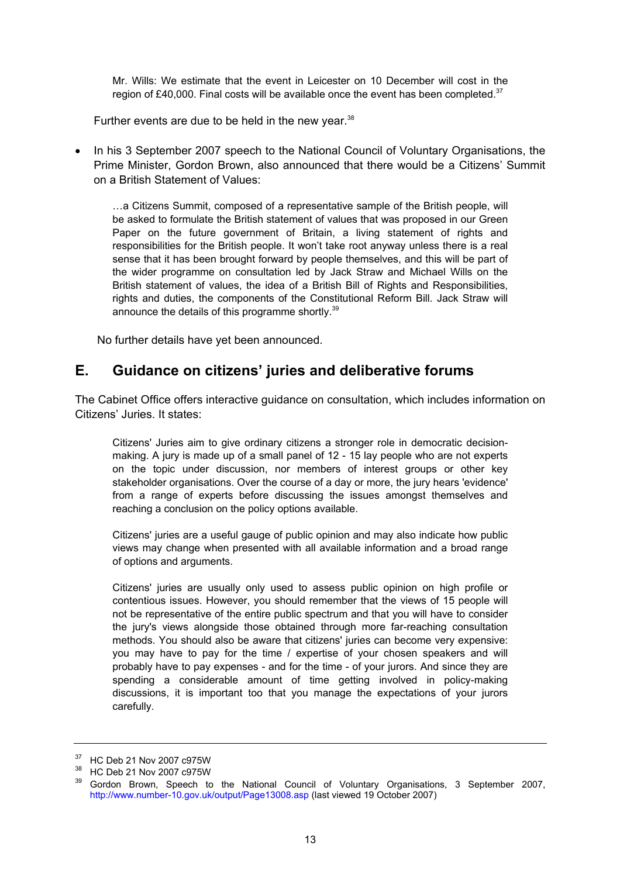Mr. Wills: We estimate that the event in Leicester on 10 December will cost in the region of £40,000. Final costs will be available once the event has been completed. $37$ 

Further events are due to be held in the new year.<sup>38</sup>

• In his 3 September 2007 speech to the National Council of Voluntary Organisations, the Prime Minister, Gordon Brown, also announced that there would be a Citizens' Summit on a British Statement of Values:

…a Citizens Summit, composed of a representative sample of the British people, will be asked to formulate the British statement of values that was proposed in our Green Paper on the future government of Britain, a living statement of rights and responsibilities for the British people. It won't take root anyway unless there is a real sense that it has been brought forward by people themselves, and this will be part of the wider programme on consultation led by Jack Straw and Michael Wills on the British statement of values, the idea of a British Bill of Rights and Responsibilities, rights and duties, the components of the Constitutional Reform Bill. Jack Straw will announce the details of this programme shortly.<sup>39</sup>

No further details have yet been announced.

## **E. Guidance on citizens' juries and deliberative forums**

The Cabinet Office offers interactive guidance on consultation, which includes information on Citizens' Juries. It states:

Citizens' Juries aim to give ordinary citizens a stronger role in democratic decisionmaking. A jury is made up of a small panel of 12 - 15 lay people who are not experts on the topic under discussion, nor members of interest groups or other key stakeholder organisations. Over the course of a day or more, the jury hears 'evidence' from a range of experts before discussing the issues amongst themselves and reaching a conclusion on the policy options available.

Citizens' juries are a useful gauge of public opinion and may also indicate how public views may change when presented with all available information and a broad range of options and arguments.

Citizens' juries are usually only used to assess public opinion on high profile or contentious issues. However, you should remember that the views of 15 people will not be representative of the entire public spectrum and that you will have to consider the jury's views alongside those obtained through more far-reaching consultation methods. You should also be aware that citizens' juries can become very expensive: you may have to pay for the time / expertise of your chosen speakers and will probably have to pay expenses - and for the time - of your jurors. And since they are spending a considerable amount of time getting involved in policy-making discussions, it is important too that you manage the expectations of your jurors carefully.

<sup>37</sup> HC Deb 21 Nov 2007 c975W

<sup>38</sup> HC Deb 21 Nov 2007 c975W

<sup>&</sup>lt;sup>39</sup> Gordon Brown, Speech to the National Council of Voluntary Organisations, 3 September 2007, http://www.number-10.gov.uk/output/Page13008.asp (last viewed 19 October 2007)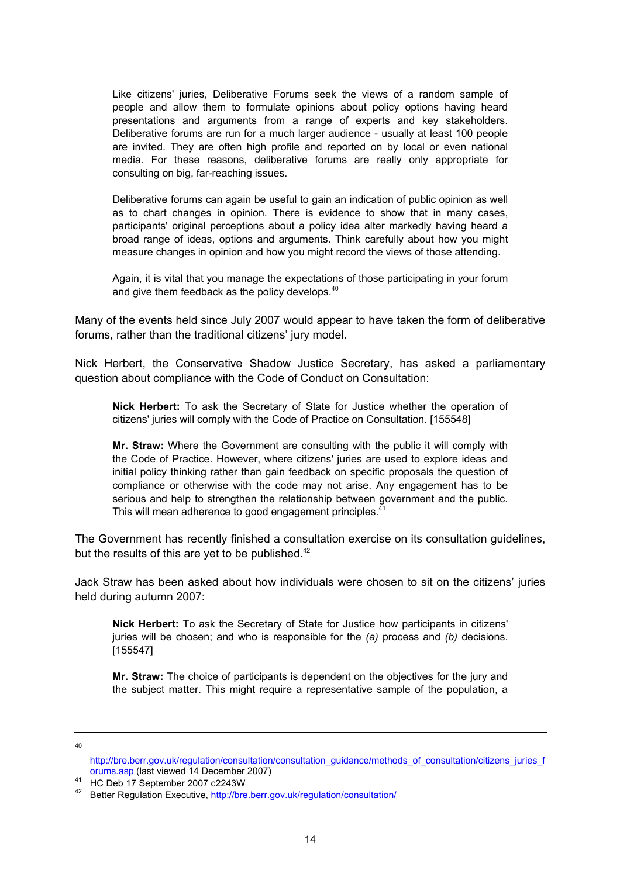Like citizens' juries, Deliberative Forums seek the views of a random sample of people and allow them to formulate opinions about policy options having heard presentations and arguments from a range of experts and key stakeholders. Deliberative forums are run for a much larger audience - usually at least 100 people are invited. They are often high profile and reported on by local or even national media. For these reasons, deliberative forums are really only appropriate for consulting on big, far-reaching issues.

Deliberative forums can again be useful to gain an indication of public opinion as well as to chart changes in opinion. There is evidence to show that in many cases, participants' original perceptions about a policy idea alter markedly having heard a broad range of ideas, options and arguments. Think carefully about how you might measure changes in opinion and how you might record the views of those attending.

Again, it is vital that you manage the expectations of those participating in your forum and give them feedback as the policy develops.<sup>40</sup>

Many of the events held since July 2007 would appear to have taken the form of deliberative forums, rather than the traditional citizens' jury model.

Nick Herbert, the Conservative Shadow Justice Secretary, has asked a parliamentary question about compliance with the Code of Conduct on Consultation:

**Nick Herbert:** To ask the Secretary of State for Justice whether the operation of citizens' juries will comply with the Code of Practice on Consultation. [155548]

**Mr. Straw:** Where the Government are consulting with the public it will comply with the Code of Practice. However, where citizens' juries are used to explore ideas and initial policy thinking rather than gain feedback on specific proposals the question of compliance or otherwise with the code may not arise. Any engagement has to be serious and help to strengthen the relationship between government and the public. This will mean adherence to good engagement principles.<sup>41</sup>

The Government has recently finished a consultation exercise on its consultation guidelines, but the results of this are yet to be published.<sup>42</sup>

Jack Straw has been asked about how individuals were chosen to sit on the citizens' juries held during autumn 2007:

**Nick Herbert:** To ask the Secretary of State for Justice how participants in citizens' juries will be chosen; and who is responsible for the *(a)* process and *(b)* decisions. [155547]

**Mr. Straw:** The choice of participants is dependent on the objectives for the jury and the subject matter. This might require a representative sample of the population, a

40

http://bre.berr.gov.uk/regulation/consultation/consultation\_guidance/methods\_of\_consultation/citizens\_juries\_f<br>orums.asp (last viewed 14 December 2007)

orums.asp (last viewed 14 December 2007) 41 HC Deb 17 September 2007 c2243W

<sup>42</sup> Better Regulation Executive, http://bre.berr.gov.uk/regulation/consultation/